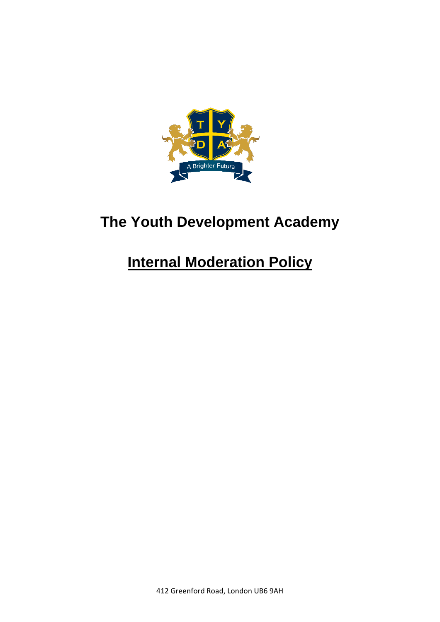

# **The Youth Development Academy**

# **Internal Moderation Policy**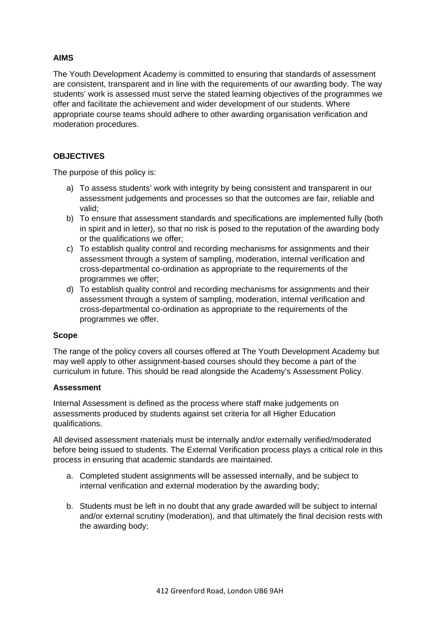# **AIMS**

The Youth Development Academy is committed to ensuring that standards of assessment are consistent, transparent and in line with the requirements of our awarding body. The way students' work is assessed must serve the stated learning objectives of the programmes we offer and facilitate the achievement and wider development of our students. Where appropriate course teams should adhere to other awarding organisation verification and moderation procedures.

# **OBJECTIVES**

The purpose of this policy is:

- a) To assess students' work with integrity by being consistent and transparent in our assessment judgements and processes so that the outcomes are fair, reliable and valid;
- b) To ensure that assessment standards and specifications are implemented fully (both in spirit and in letter), so that no risk is posed to the reputation of the awarding body or the qualifications we offer;
- c) To establish quality control and recording mechanisms for assignments and their assessment through a system of sampling, moderation, internal verification and cross-departmental co-ordination as appropriate to the requirements of the programmes we offer;
- d) To establish quality control and recording mechanisms for assignments and their assessment through a system of sampling, moderation, internal verification and cross-departmental co-ordination as appropriate to the requirements of the programmes we offer.

### **Scope**

The range of the policy covers all courses offered at The Youth Development Academy but may well apply to other assignment-based courses should they become a part of the curriculum in future. This should be read alongside the Academy's Assessment Policy.

#### **Assessment**

Internal Assessment is defined as the process where staff make judgements on assessments produced by students against set criteria for all Higher Education qualifications.

All devised assessment materials must be internally and/or externally verified/moderated before being issued to students. The External Verification process plays a critical role in this process in ensuring that academic standards are maintained.

- a. Completed student assignments will be assessed internally, and be subject to internal verification and external moderation by the awarding body;
- b. Students must be left in no doubt that any grade awarded will be subject to internal and/or external scrutiny (moderation), and that ultimately the final decision rests with the awarding body;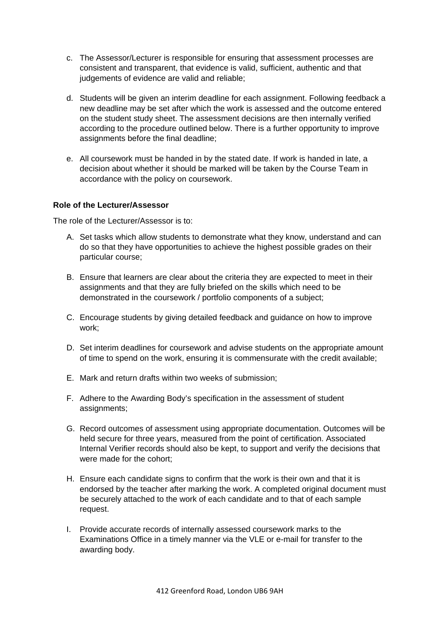- c. The Assessor/Lecturer is responsible for ensuring that assessment processes are consistent and transparent, that evidence is valid, sufficient, authentic and that judgements of evidence are valid and reliable;
- d. Students will be given an interim deadline for each assignment. Following feedback a new deadline may be set after which the work is assessed and the outcome entered on the student study sheet. The assessment decisions are then internally verified according to the procedure outlined below. There is a further opportunity to improve assignments before the final deadline;
- e. All coursework must be handed in by the stated date. If work is handed in late, a decision about whether it should be marked will be taken by the Course Team in accordance with the policy on coursework.

### **Role of the Lecturer/Assessor**

The role of the Lecturer/Assessor is to:

- A. Set tasks which allow students to demonstrate what they know, understand and can do so that they have opportunities to achieve the highest possible grades on their particular course;
- B. Ensure that learners are clear about the criteria they are expected to meet in their assignments and that they are fully briefed on the skills which need to be demonstrated in the coursework / portfolio components of a subject;
- C. Encourage students by giving detailed feedback and guidance on how to improve work;
- D. Set interim deadlines for coursework and advise students on the appropriate amount of time to spend on the work, ensuring it is commensurate with the credit available;
- E. Mark and return drafts within two weeks of submission;
- F. Adhere to the Awarding Body's specification in the assessment of student assignments:
- G. Record outcomes of assessment using appropriate documentation. Outcomes will be held secure for three years, measured from the point of certification. Associated Internal Verifier records should also be kept, to support and verify the decisions that were made for the cohort;
- H. Ensure each candidate signs to confirm that the work is their own and that it is endorsed by the teacher after marking the work. A completed original document must be securely attached to the work of each candidate and to that of each sample request.
- I. Provide accurate records of internally assessed coursework marks to the Examinations Office in a timely manner via the VLE or e-mail for transfer to the awarding body.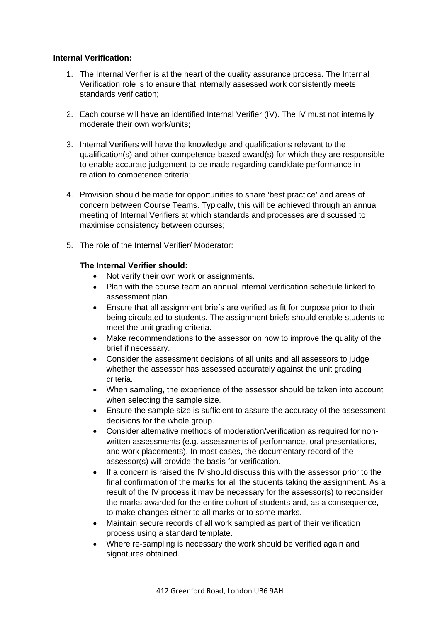### **Internal Verification:**

- 1. The Internal Verifier is at the heart of the quality assurance process. The Internal Verification role is to ensure that internally assessed work consistently meets standards verification;
- 2. Each course will have an identified Internal Verifier (IV). The IV must not internally moderate their own work/units;
- 3. Internal Verifiers will have the knowledge and qualifications relevant to the qualification(s) and other competence-based award(s) for which they are responsible to enable accurate judgement to be made regarding candidate performance in relation to competence criteria;
- 4. Provision should be made for opportunities to share 'best practice' and areas of concern between Course Teams. Typically, this will be achieved through an annual meeting of Internal Verifiers at which standards and processes are discussed to maximise consistency between courses;
- 5. The role of the Internal Verifier/ Moderator:

### **The Internal Verifier should:**

- Not verify their own work or assignments.
- Plan with the course team an annual internal verification schedule linked to assessment plan.
- Ensure that all assignment briefs are verified as fit for purpose prior to their being circulated to students. The assignment briefs should enable students to meet the unit grading criteria.
- Make recommendations to the assessor on how to improve the quality of the brief if necessary.
- Consider the assessment decisions of all units and all assessors to judge whether the assessor has assessed accurately against the unit grading criteria.
- When sampling, the experience of the assessor should be taken into account when selecting the sample size.
- Ensure the sample size is sufficient to assure the accuracy of the assessment decisions for the whole group.
- Consider alternative methods of moderation/verification as required for nonwritten assessments (e.g. assessments of performance, oral presentations, and work placements). In most cases, the documentary record of the assessor(s) will provide the basis for verification.
- If a concern is raised the IV should discuss this with the assessor prior to the final confirmation of the marks for all the students taking the assignment. As a result of the IV process it may be necessary for the assessor(s) to reconsider the marks awarded for the entire cohort of students and, as a consequence, to make changes either to all marks or to some marks.
- Maintain secure records of all work sampled as part of their verification process using a standard template.
- Where re-sampling is necessary the work should be verified again and signatures obtained.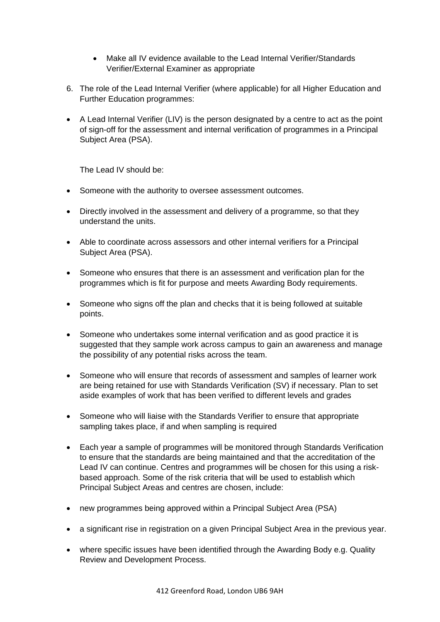- Make all IV evidence available to the Lead Internal Verifier/Standards Verifier/External Examiner as appropriate
- 6. The role of the Lead Internal Verifier (where applicable) for all Higher Education and Further Education programmes:
- A Lead Internal Verifier (LIV) is the person designated by a centre to act as the point of sign-off for the assessment and internal verification of programmes in a Principal Subject Area (PSA).

The Lead IV should be:

- Someone with the authority to oversee assessment outcomes.
- Directly involved in the assessment and delivery of a programme, so that they understand the units.
- Able to coordinate across assessors and other internal verifiers for a Principal Subject Area (PSA).
- Someone who ensures that there is an assessment and verification plan for the programmes which is fit for purpose and meets Awarding Body requirements.
- Someone who signs off the plan and checks that it is being followed at suitable points.
- Someone who undertakes some internal verification and as good practice it is suggested that they sample work across campus to gain an awareness and manage the possibility of any potential risks across the team.
- Someone who will ensure that records of assessment and samples of learner work are being retained for use with Standards Verification (SV) if necessary. Plan to set aside examples of work that has been verified to different levels and grades
- Someone who will liaise with the Standards Verifier to ensure that appropriate sampling takes place, if and when sampling is required
- Each year a sample of programmes will be monitored through Standards Verification to ensure that the standards are being maintained and that the accreditation of the Lead IV can continue. Centres and programmes will be chosen for this using a riskbased approach. Some of the risk criteria that will be used to establish which Principal Subject Areas and centres are chosen, include:
- new programmes being approved within a Principal Subject Area (PSA)
- a significant rise in registration on a given Principal Subject Area in the previous year.
- where specific issues have been identified through the Awarding Body e.g. Quality Review and Development Process.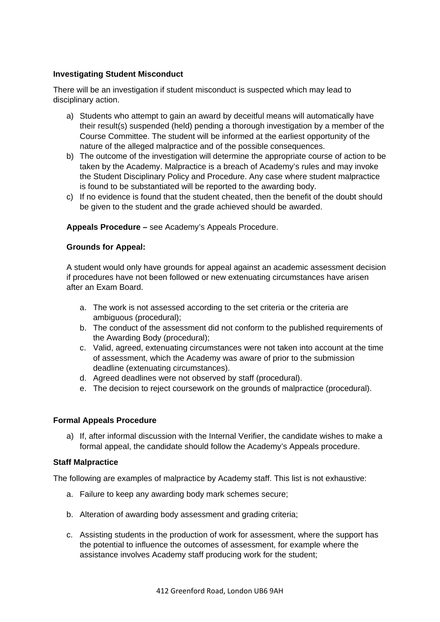## **Investigating Student Misconduct**

There will be an investigation if student misconduct is suspected which may lead to disciplinary action.

- a) Students who attempt to gain an award by deceitful means will automatically have their result(s) suspended (held) pending a thorough investigation by a member of the Course Committee. The student will be informed at the earliest opportunity of the nature of the alleged malpractice and of the possible consequences.
- b) The outcome of the investigation will determine the appropriate course of action to be taken by the Academy. Malpractice is a breach of Academy's rules and may invoke the Student Disciplinary Policy and Procedure. Any case where student malpractice is found to be substantiated will be reported to the awarding body.
- c) If no evidence is found that the student cheated, then the benefit of the doubt should be given to the student and the grade achieved should be awarded.

### **Appeals Procedure –** see Academy's Appeals Procedure.

#### **Grounds for Appeal:**

A student would only have grounds for appeal against an academic assessment decision if procedures have not been followed or new extenuating circumstances have arisen after an Exam Board.

- a. The work is not assessed according to the set criteria or the criteria are ambiguous (procedural);
- b. The conduct of the assessment did not conform to the published requirements of the Awarding Body (procedural);
- c. Valid, agreed, extenuating circumstances were not taken into account at the time of assessment, which the Academy was aware of prior to the submission deadline (extenuating circumstances).
- d. Agreed deadlines were not observed by staff (procedural).
- e. The decision to reject coursework on the grounds of malpractice (procedural).

### **Formal Appeals Procedure**

a) If, after informal discussion with the Internal Verifier, the candidate wishes to make a formal appeal, the candidate should follow the Academy's Appeals procedure.

#### **Staff Malpractice**

The following are examples of malpractice by Academy staff. This list is not exhaustive:

- a. Failure to keep any awarding body mark schemes secure;
- b. Alteration of awarding body assessment and grading criteria;
- c. Assisting students in the production of work for assessment, where the support has the potential to influence the outcomes of assessment, for example where the assistance involves Academy staff producing work for the student;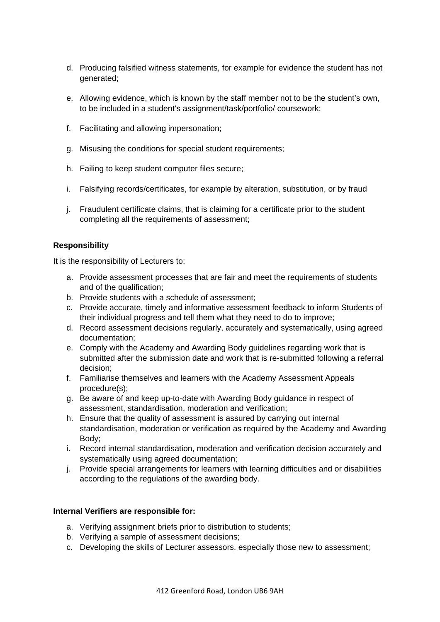- d. Producing falsified witness statements, for example for evidence the student has not generated;
- e. Allowing evidence, which is known by the staff member not to be the student's own, to be included in a student's assignment/task/portfolio/ coursework;
- f. Facilitating and allowing impersonation;
- g. Misusing the conditions for special student requirements;
- h. Failing to keep student computer files secure;
- i. Falsifying records/certificates, for example by alteration, substitution, or by fraud
- j. Fraudulent certificate claims, that is claiming for a certificate prior to the student completing all the requirements of assessment;

# **Responsibility**

It is the responsibility of Lecturers to:

- a. Provide assessment processes that are fair and meet the requirements of students and of the qualification;
- b. Provide students with a schedule of assessment;
- c. Provide accurate, timely and informative assessment feedback to inform Students of their individual progress and tell them what they need to do to improve;
- d. Record assessment decisions regularly, accurately and systematically, using agreed documentation;
- e. Comply with the Academy and Awarding Body guidelines regarding work that is submitted after the submission date and work that is re-submitted following a referral decision;
- f. Familiarise themselves and learners with the Academy Assessment Appeals procedure(s);
- g. Be aware of and keep up-to-date with Awarding Body guidance in respect of assessment, standardisation, moderation and verification;
- h. Ensure that the quality of assessment is assured by carrying out internal standardisation, moderation or verification as required by the Academy and Awarding Body;
- i. Record internal standardisation, moderation and verification decision accurately and systematically using agreed documentation;
- j. Provide special arrangements for learners with learning difficulties and or disabilities according to the regulations of the awarding body.

### **Internal Verifiers are responsible for:**

- a. Verifying assignment briefs prior to distribution to students;
- b. Verifying a sample of assessment decisions;
- c. Developing the skills of Lecturer assessors, especially those new to assessment;